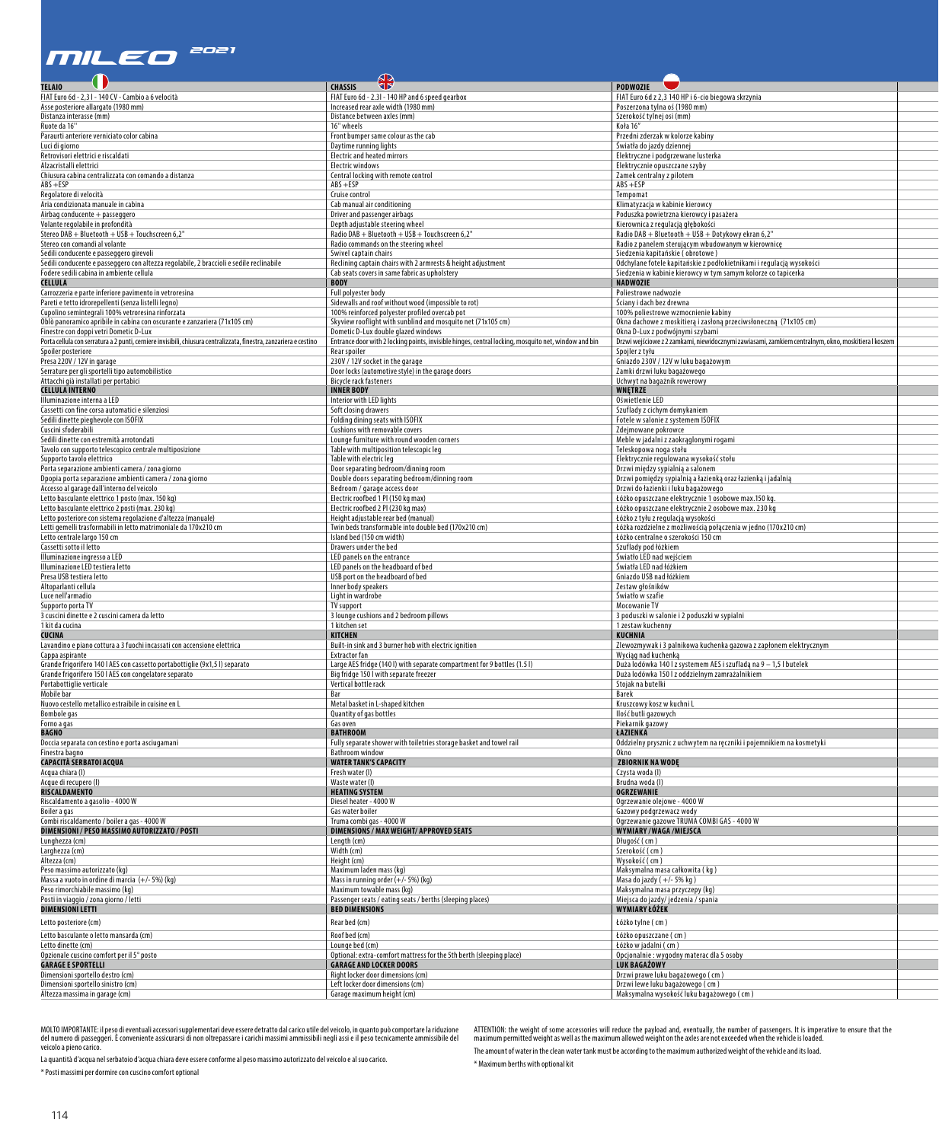## *MilEo 2021*

|                                                                                                                    | $\bigoplus$                                                                                           | $\bullet$                                                                                           |
|--------------------------------------------------------------------------------------------------------------------|-------------------------------------------------------------------------------------------------------|-----------------------------------------------------------------------------------------------------|
| <b>TELAIO</b><br>FIAT Euro 6d - 2,31 - 140 CV - Cambio a 6 velocità                                                | <b>CHASSIS</b><br>FIAT Euro 6d - 2.3l - 140 HP and 6 speed gearbox                                    | <b>PODWOZIE</b><br>FIAT Euro 6d z 2,3 140 HP i 6-cio biegowa skrzynia                               |
| Asse posteriore allargato (1980 mm)                                                                                | Increased rear axle width (1980 mm)                                                                   | Poszerzona tylna oś (1980 mm)                                                                       |
| Distanza interasse (mm)                                                                                            | Distance between axles (mm)                                                                           | Szerokość tylnej osi (mm)                                                                           |
| Ruote da 16"                                                                                                       | 16'' wheels                                                                                           | Koła 16″                                                                                            |
| Paraurti anteriore verniciato color cabina                                                                         | Front bumper same colour as the cab                                                                   | Przedni zderzak w kolorze kabiny                                                                    |
| Luci di giorno<br>Retrovisori elettrici e riscaldati                                                               | Daytime running lights<br><b>Electric and heated mirrors</b>                                          | Światła do jazdy dziennej<br>Elektryczne i podgrzewane lusterka                                     |
| Alzacristalli elettrici                                                                                            | Electric windows                                                                                      | Elektrycznie opuszczane szyby                                                                       |
| Chiusura cabina centralizzata con comando a distanza                                                               | Central locking with remote control                                                                   | Zamek centralny z pilotem                                                                           |
| $ABS + ESP$                                                                                                        | $ABS + ESP$                                                                                           | $ABS + ESP$                                                                                         |
| Regolatore di velocità                                                                                             | Cruise control                                                                                        | empomat                                                                                             |
| Aria condizionata manuale in cabina<br>Airbag conducente + passeggero                                              | Cab manual air conditioning<br>Driver and passenger airbags                                           | Klimatyzacja w kabinie kierowcy<br>Poduszka powietrzna kierowcy i pasażera                          |
| Volante regolabile in profondità                                                                                   | Depth adjustable steering wheel                                                                       | Kierownica z regulacją głębokości                                                                   |
| Stereo DAB + Bluetooth + USB + Touchscreen 6,2"                                                                    | Radio DAB + Bluetooth + USB + Touchscreen 6,2"                                                        | Radio DAB + Bluetooth + USB + Dotykowy ekran 6,2"                                                   |
| Stereo con comandi al volante                                                                                      | Radio commands on the steering wheel                                                                  | Radio z panelem sterującym wbudowanym w kierownicę                                                  |
| Sedili conducente e passeggero girevoli                                                                            | Swivel captain chairs                                                                                 | Siedzenia kapitańskie ( obrotowe )                                                                  |
| Sedili conducente e passeggero con altezza regolabile, 2 braccioli e sedile reclinabile                            | Reclining captain chairs with 2 armrests & height adjustment                                          | Odchylane fotele kapitańskie z podłokietnikami i regulacją wysokości                                |
| Fodere sedili cabina in ambiente cellula                                                                           | Cab seats covers in same fabric as upholstery                                                         | Siedzenia w kabinie kierowcy w tym samym kolorze co tapicerka                                       |
| CELLULA                                                                                                            | <b>BODY</b>                                                                                           | NADWOZIE                                                                                            |
| Carrozzeria e parte inferiore pavimento in vetroresina<br>Pareti e tetto idrorepellenti (senza listelli legno)     | Full polyester body<br>Sidewalls and roof without wood (impossible to rot)                            | Poliestrowe nadwozie<br>Sciany i dach bez drewna                                                    |
| Cupolino semintegrali 100% vetroresina rinforzata                                                                  | 100% reinforced polyester profiled overcab pot                                                        | 100% poliestrowe wzmocnienie kabiny                                                                 |
| Oblò panoramico apribile in cabina con oscurante e zanzariera (71x105 cm)                                          | Skyview rooflight with sunblind and mosquito net (71x105 cm)                                          | Okna dachowe z moskitierą i zasłoną przeciwsłoneczną (71x105 cm)                                    |
| Finestre con doppi vetri Dometic D-Lux                                                                             | Dometic D-Lux double glazed windows                                                                   | Okna D-Lux z podwójnymi szybami                                                                     |
| Porta cellula con serratura a 2 punti, cerniere invisibili, chiusura centralizzata, finestra, zanzariera e cestino | Entrance door with 2 locking points, invisible hinges, central locking, mosquito net, window and bin  | Drzwi wejściowe z 2 zamkami, niewidocznymi zawiasami, zamkiem centralnym, okno, moskitiera I koszem |
| Spoiler posteriore                                                                                                 | Rear spoiler                                                                                          | Spojler z tyłu                                                                                      |
| Presa 220V / 12V in garage                                                                                         | 230V / 12V socket in the garage                                                                       | Gniazdo 230V / 12V w luku bagażowym                                                                 |
| Serrature per gli sportelli tipo automobilistico                                                                   | Door locks (automotive style) in the garage doors                                                     | Zamki drzwi luku bagażowego                                                                         |
| Attacchi già installati per portabici                                                                              | Bicycle rack fasteners                                                                                | Uchwyt na bagażnik rowerowy                                                                         |
| <b>CELLULA INTERNO</b>                                                                                             | <b>INNER BODY</b>                                                                                     | WNĘTRZE                                                                                             |
| Illuminazione interna a LED<br>Cassetti con fine corsa automatici e silenziosi                                     | Interior with LED lights<br>Soft closing drawers                                                      | Oświetlenie LED<br>Szuflady z cichym domykaniem                                                     |
| Sedili dinette pieghevole con ISOFIX                                                                               | Folding dining seats with ISOFIX                                                                      | Fotele w salonie z systemem ISOFIX                                                                  |
| Cuscini sfoderabili                                                                                                | Cushions with removable covers                                                                        | dejmowane pokrowce!                                                                                 |
| Sedili dinette con estremità arrotondati                                                                           | Lounge furniture with round wooden corners                                                            | Meble w jadalni z zaokrąglonymi rogami                                                              |
| Tavolo con supporto telescopico centrale multiposizione                                                            | Table with multiposition telescopic leg                                                               | íeleskopowa noga stołu                                                                              |
| Supporto tavolo elettrico                                                                                          | Table with electric leg                                                                               | Elektrycznie regulowana wysokość stołu                                                              |
| Porta separazione ambienti camera / zona giorno                                                                    | Door separating bedroom/dinning room                                                                  | Drzwi między sypialnią a salonem                                                                    |
| Dpopia porta separazione ambienti camera / zona giorno                                                             | Double doors separating bedroom/dinning room                                                          | Drzwi pomiędzy sypialnią a łazienką oraz łazienką i jadalnią                                        |
| Accesso al garage dall'interno del veicolo<br>Letto basculante elettrico 1 posto (max. 150 kg)                     | Bedroom / garage access door<br>Electric roofbed 1 PI (150 kg max)                                    | Drzwi do łazienki i luku bagażowego<br>Łóżko opuszczane elektrycznie 1 osobowe max.150 kg.          |
| Letto basculante elettrico 2 posti (max. 230 kg)                                                                   | Electric roofbed 2 PI (230 kg max)                                                                    | Łóżko opuszczane elektrycznie 2 osobowe max. 230 kg                                                 |
| Letto posteriore con sistema regolazione d'altezza (manuale)                                                       | Height adjustable rear bed (manual)                                                                   | óżko z tyłu z regulacją wysokości.                                                                  |
| Letti gemelli trasformabili in letto matrimoniale da 170x210 cm                                                    | Twin beds transformable into double bed (170x210 cm)                                                  | Łóżka rozdzielne z możliwością połączenia w jedno (170x210 cm)                                      |
| Letto centrale largo 150 cm                                                                                        | Island bed (150 cm width)                                                                             | Łóżko centralne o szerokości 150 cm                                                                 |
| Cassetti sotto il letto                                                                                            | Drawers under the bed                                                                                 | Szuflady pod łóżkiem                                                                                |
| Illuminazione ingresso a LED                                                                                       | LED panels on the entrance                                                                            | iwiatło LED nad wejściem                                                                            |
| Illuminazione LED testiera letto                                                                                   | LED panels on the headboard of bed                                                                    | iwiatła LED nad łóżkiem                                                                             |
| Presa USB testiera letto                                                                                           | USB port on the headboard of bed                                                                      | Gniazdo USB nad łóżkiem                                                                             |
| Altoparlanti cellula                                                                                               | Inner body speakers                                                                                   | Zestaw głośników                                                                                    |
| Luce nell'armadio                                                                                                  | Light in wardrobe                                                                                     | Światło w szafie<br>Mocowanie TV                                                                    |
| Supporto porta TV<br>3 cuscini dinette e 2 cuscini camera da letto                                                 | IV support<br>3 lounge cushions and 2 bedroom pillows                                                 | I poduszki w salonie i 2 poduszki w sypialni                                                        |
| 1 kit da cucina                                                                                                    | 1 kitchen set                                                                                         | zestaw kuchenny                                                                                     |
| CUCINA                                                                                                             | <b>KITCHEN</b>                                                                                        | KUCHNIA                                                                                             |
| Lavandino e piano cottura a 3 fuochi incassati con accensione elettrica                                            | Built-in sink and 3 burner hob with electric ignition                                                 | Zlewozmywak i 3 palnikowa kuchenka gazowa z zapłonem elektrycznym                                   |
| Cappa aspirante                                                                                                    | Extractor fan                                                                                         | Wyciąg nad kuchenką                                                                                 |
| Grande frigorifero 140   AES con cassetto portabottiglie (9x1,5 l) separato                                        | Large AES fridge (140 l) with separate compartment for 9 bottles (1.5 l)                              | Duża lodówka 140 l z systemem AES i szufladą na 9 – 1,5 l butelek                                   |
| Grande frigorifero 150   AES con congelatore separato                                                              | Big fridge 150 I with separate freezer                                                                | Duża lodówka 150 l z oddzielnym zamrażalnikiem                                                      |
| Portabottiglie verticale                                                                                           | Vertical bottle rack                                                                                  | Stojak na butelki                                                                                   |
| Mobile bar                                                                                                         |                                                                                                       | Barek                                                                                               |
| Nuovo cestello metallico estraibile in cuisine en L<br>Bombole gas                                                 | Metal basket in L-shaped kitchen<br>Quantity of gas bottles                                           | Kruszcowy kosz w kuchni l<br>llość butli gazowych                                                   |
|                                                                                                                    | Gas oven                                                                                              | Piekarnik gazowy                                                                                    |
| Forno a gas<br>BAGNO                                                                                               | <b>BATHROOM</b>                                                                                       | ŁAZIENKA                                                                                            |
| Doccia separata con cestino e porta asciugamani                                                                    | Fully separate shower with toiletries storage basket and towel rail                                   | Oddzielny prysznic z uchwytem na ręczniki i pojemnikiem na kosmetyki                                |
| Finestra bagno                                                                                                     | Bathroom window                                                                                       | Okno                                                                                                |
| CAPACITÀ SERBATOI ACQUA                                                                                            | <b>WATER TANK'S CAPACITY</b>                                                                          | <b>ZBIORNIK NA WODE</b>                                                                             |
| Acqua chiara (I)                                                                                                   | Fresh water (I)                                                                                       | Czysta woda (I)                                                                                     |
| Acque di recupero (I)                                                                                              | Waste water (I)                                                                                       | Brudna woda (l                                                                                      |
| RISCALDAMENTO                                                                                                      | <b>HEATING SYSTEM</b>                                                                                 | <b>OGRZEWANIE</b>                                                                                   |
| Riscaldamento a gasolio - 4000 W                                                                                   | Diesel heater - 4000 W                                                                                | Ogrzewanie olejowe - 4000 W                                                                         |
| Boiler a gas<br>Combi riscaldamento / boiler a gas - 4000 W                                                        | Gas water boiler                                                                                      | Gazowy podgrzewacz wody                                                                             |
|                                                                                                                    | Truma combi gas - 4000 W                                                                              | Ogrzewanie gazowe TRUMA COMBI GAS - 4000 W                                                          |
| DIMENSIONI / PESO MASSIMO AUTORIZZATO / POSTI                                                                      | <b>DIMENSIONS / MAX WEIGHT/ APPROVED SEATS</b>                                                        | WYMIARY/WAGA/MIEJSCA                                                                                |
| Lunghezza (cm)<br>Larghezza (cm)                                                                                   | Length (cm)<br>Width (cm)                                                                             | Długość ( cm )<br>Szerokość (cm)                                                                    |
| Altezza (cm)                                                                                                       | Height (cm)                                                                                           | Wysokość (cm)                                                                                       |
| Peso massimo autorizzato (kg)                                                                                      | Maximum laden mass (kg)                                                                               | Maksymalna masa całkowita (kg)                                                                      |
| Massa a vuoto in ordine di marcia (+/- 5%) (kg)                                                                    | Mass in running order $(+/-5%)$ (kg)                                                                  | Masa do jazdy (+/-5% kg)                                                                            |
| Peso rimorchiabile massimo (kg)                                                                                    | Maximum towable mass (kg)                                                                             | Maksymalna masa przyczepy (kg)                                                                      |
| Posti in viaggio / zona giorno / letti                                                                             | Passenger seats / eating seats / berths (sleeping places)                                             | Miejsca do jazdy/jedzenia / spania                                                                  |
| <b>DIMENSIONI LETTI</b>                                                                                            | <b>BED DIMENSIONS</b>                                                                                 | WYMIARY ŁÓŻEK                                                                                       |
| Letto posteriore (cm)                                                                                              | Rear bed (cm)                                                                                         | Łóżko tylne (cm)                                                                                    |
|                                                                                                                    |                                                                                                       |                                                                                                     |
| Letto basculante o letto mansarda (cm)                                                                             | Roof bed (cm)                                                                                         | Łóżko opuszczane ( cm )                                                                             |
| Letto dinette (cm)                                                                                                 | Lounge bed (cm)                                                                                       | Łóżko w jadalni (cm)                                                                                |
| Opzionale cuscino comfort per il 5° posto<br><b>GARAGE E SPORTELLI</b>                                             | Optional: extra-comfort mattress for the 5th berth (sleeping place)<br><b>GARAGE AND LOCKER DOORS</b> | Opcjonalnie: wygodny materac dla 5 osoby<br>LUK BAGAŻOWY                                            |
| Dimensioni sportello destro (cm)                                                                                   | Right locker door dimensions (cm)                                                                     | Drzwi prawe luku bagażowego (cm)                                                                    |
| Dimensioni sportello sinistro (cm)                                                                                 | Left locker door dimensions (cm)                                                                      | Drzwi lewe luku bagażowego (cm)                                                                     |
| Altezza massima in garage (cm)                                                                                     | Garage maximum height (cm)                                                                            | Maksymalna wysokość luku bagażowego (cm)                                                            |
|                                                                                                                    |                                                                                                       |                                                                                                     |

MOLTO IMPORTANTE: il peso di eventuali accessori supplementari deve essere detratto dal carico utile del veicolo, in quanto può comportare la riduzione<br>del numero di passeggeri. È conveniente assicurarsi di non oltrepassar

La quantità d'acqua nel serbatoio d'acqua chiara deve essere conforme al peso massimo autorizzato del veicolo e al suo carico. \* Posti massimi per dormire con cuscino comfort optional

ATTENTION: the weight of some accessories will reduce the payload and, eventually, the number of passengers. It is imperative to ensure that the<br>maximum permitted weight as well as the maximum allowed weight on the axles a The amount of water in the clean water tank must be according to the maximum authorized weight of the vehicle and its load. \* Maximum berths with optional kit